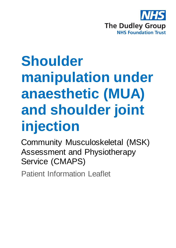

# **Shoulder manipulation under anaesthetic (MUA) and shoulder joint injection**

Community Musculoskeletal (MSK) Assessment and Physiotherapy Service (CMAPS)

Patient Information Leaflet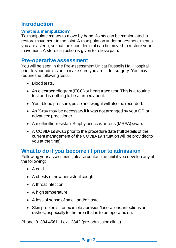# **Introduction**

#### **What is a manipulation?**

To manipulate means to move by hand. Joints can be manipulated to restore movement to the joint. A manipulation under anaesthetic means you are asleep, so that the shoulder joint can be moved to restore your movement. A steroid injection is given to relieve pain.

## **Pre-operative assessment**

You will be seen in the Pre-assessment Unit at Russells Hall Hospital prior to your admission to make sure you are fit for surgery. You may require the following tests:

- Blood tests.
- An electrocardiogram (ECG) or heart trace test. This is a routine test and is nothing to be alarmed about.
- Your blood pressure, pulse and weight will also be recorded.
- An X-ray may be necessary if it was not arranged by your GP or advanced practitioner.
- A methicillin-resistant Staphylococcus aureus (MRSA) swab.
- A COVID-19 swab prior to the procedure date (full details of the current management of the COVID-19 situation will be provided to you at the time).

# **What to do if you become ill prior to admission**

Following your assessment, please contact the unit if you develop any of the following:

- $\bullet$  A cold.
- A chesty or new persistent cough.
- A throat infection.
- A high temperature.
- A loss of sense of smell and/or taste.
- Skin problems, for example abrasion/lacerations, infections or rashes, especially to the area that is to be operated on.

Phone: 01384 456111 ext. 2842 (pre-admission clinic)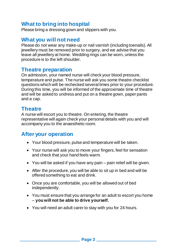# **What to bring into hospital**

Please bring a dressing gown and slippers with you.

# **What you will not need**

Please do not wear any make-up or nail varnish (including toenails). All jewellery must be removed prior to surgery, and we advise that you leave all jewellery at home. Wedding rings can be worn, unless the procedure is to the left shoulder.

## **Theatre preparation**

On admission, your named nurse will check your blood pressure, temperature and pulse. The nurse will ask you some theatre checklist questions which will be rechecked several times prior to your procedure. During this time, you will be informed of the approximate time of theatre and will be asked to undress and put on a theatre gown, paper pants and a cap.

# **Theatre**

A nurse will escort you to theatre. On entering, the theatre representative will again check your personal details with you and will accompany you to the anaesthetic room.

# **After your operation**

- Your blood pressure, pulse and temperature will be taken.
- Your nurse will ask you to move your fingers, feel for sensation and check that your hand feels warm.
- You will be asked if you have any pain pain relief will be given.
- After the procedure, you will be able to sit up in bed and will be offered something to eat and drink.
- Once you are comfortable, you will be allowed out of bed independently.
- You must ensure that you arrange for an adult to escort you home – **you will not be able to drive yourself.**
- You will need an adult carer to stay with you for 24 hours.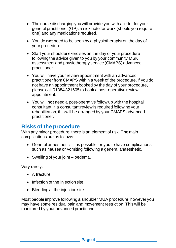- The nurse discharging you will provide you with a letter for your general practitioner (GP), a sick note for work (should you require one) and any medications required.
- You do **not** need to be seen by a physiotherapist on the day of your procedure.
- Start your shoulder exercises on the day of your procedure following the advice given to you by your community MSK assessment and physiotherapy service (CMAPS) advanced practitioner.
- You will have your review appointment with an advanced practitioner from CMAPS within a week of the procedure. If you do not have an appointment booked by the day of your procedure, please call 01384 321605 to book a post-operative review appointment.
- You will **not** need a post-operative follow up with the hospital consultant. If a consultant review is required following your rehabilitation, this will be arranged by your CMAPS advanced practitioner.

# **Risks of the procedure**

With any minor procedure, there is an element of risk. The main complications are as follows:

- General anaesthetic it is possible for you to have complications such as nausea or vomiting following a general anaesthetic.
- Swelling of your joint oedema.

Very rarely:

- A fracture.
- Infection of the injection site.
- Bleeding at the injection site.

Most people improve following a shoulder MUA procedure, however you may have some residual pain and movement restriction. This will be monitored by your advanced practitioner.